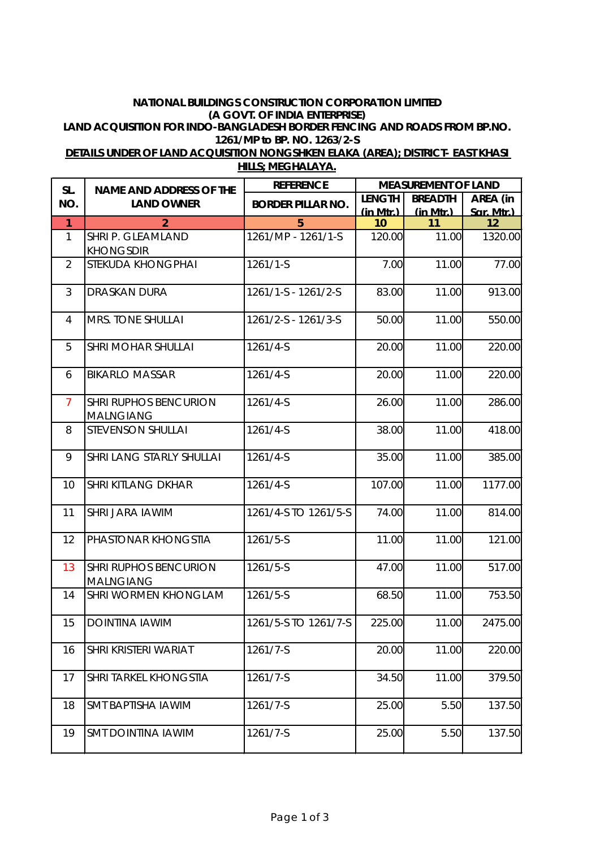## **NATIONAL BUILDINGS CONSTRUCTION CORPORATION LIMITED (A GOVT. OF INDIA ENTERPRISE) LAND ACQUISITION FOR INDO-BANGLADESH BORDER FENCING AND ROADS FROM BP.NO. 1261/MP to BP. NO. 1263/2-S**

| SL.            | <b>NAME AND ADDRESS OF THE</b>                   | <b>REFERENCE</b>         | <b>MEASUREMENT OF LAND</b> |                 |                  |  |
|----------------|--------------------------------------------------|--------------------------|----------------------------|-----------------|------------------|--|
| NO.            | <b>LAND OWNER</b>                                | <b>BORDER PILLAR NO.</b> | <b>LENGTH</b>              | <b>BREADTH</b>  | AREA (in         |  |
| $\mathbf{1}$   | $\overline{2}$                                   | 5                        | (in Mtr.)<br>10            | (in Mtr.)<br>11 | Sar. Mtr.)<br>12 |  |
| $\mathbf{1}$   | SHRI P. GLEAMLAND<br><b>KHONGSDIR</b>            | 1261/MP - 1261/1-S       | 120.00                     | 11.00           | 1320.00          |  |
| $\overline{2}$ | STEKUDA KHONGPHAI                                | 1261/1-S                 | 7.00                       | 11.00           | 77.00            |  |
| 3              | <b>DRASKAN DURA</b>                              | 1261/1-S - 1261/2-S      | 83.00                      | 11.00           | 913.00           |  |
| $\overline{4}$ | MRS. TONE SHULLAI                                | 1261/2-S - 1261/3-S      | 50.00                      | 11.00           | 550.00           |  |
| 5              | <b>SHRI MOHAR SHULLAI</b>                        | 1261/4-S                 | 20.00                      | 11.00           | 220.00           |  |
| 6              | <b>BIKARLO MASSAR</b>                            | 1261/4-S                 | 20.00                      | 11.00           | 220.00           |  |
| $\overline{7}$ | <b>SHRI RUPHOS BENCURION</b><br><b>MALNGIANG</b> | 1261/4-S                 | 26.00                      | 11.00           | 286.00           |  |
| 8              | <b>STEVENSON SHULLAI</b>                         | 1261/4-S                 | 38.00                      | 11.00           | 418.00           |  |
| 9              | SHRI LANG STARLY SHULLAI                         | 1261/4-S                 | 35.00                      | 11.00           | 385.00           |  |
| 10             | <b>SHRI KITLANG DKHAR</b>                        | 1261/4-S                 | 107.00                     | 11.00           | 1177.00          |  |
| 11             | <b>SHRI JARA IAWIM</b>                           | 1261/4-S TO 1261/5-S     | 74.00                      | 11.00           | 814.00           |  |
| 12             | PHASTONAR KHONGSTIA                              | 1261/5-S                 | 11.00                      | 11.00           | 121.00           |  |
| 13             | <b>SHRI RUPHOS BENCURION</b><br><b>MALNGIANG</b> | 1261/5-S                 | 47.00                      | 11.00           | 517.00           |  |
| 14             | <b>SHRI WORMEN KHONGLAM</b>                      | 1261/5-S                 | 68.50                      | 11.00           | 753.50           |  |
| 15             | <b>DOINTINA IAWIM</b>                            | 1261/5-S TO 1261/7-S     | 225.00                     | 11.00           | 2475.00          |  |
| 16             | SHRI KRISTERI WARIAT                             | 1261/7-S                 | 20.00                      | 11.00           | 220.00           |  |
| 17             | <b>SHRI TARKEL KHONGSTIA</b>                     | 1261/7-S                 | 34.50                      | 11.00           | 379.50           |  |
| 18             | <b>SMT BAPTISHA IAWIM</b>                        | 1261/7-S                 | 25.00                      | 5.50            | 137.50           |  |
| 19             | <b>SMT DOINTINA IAWIM</b>                        | 1261/7-S                 | 25.00                      | 5.50            | 137.50           |  |

**DETAILS UNDER OF LAND ACQUISITION NONGSHKEN ELAKA (AREA); DISTRICT- EAST KHASI HILLS; MEGHALAYA.**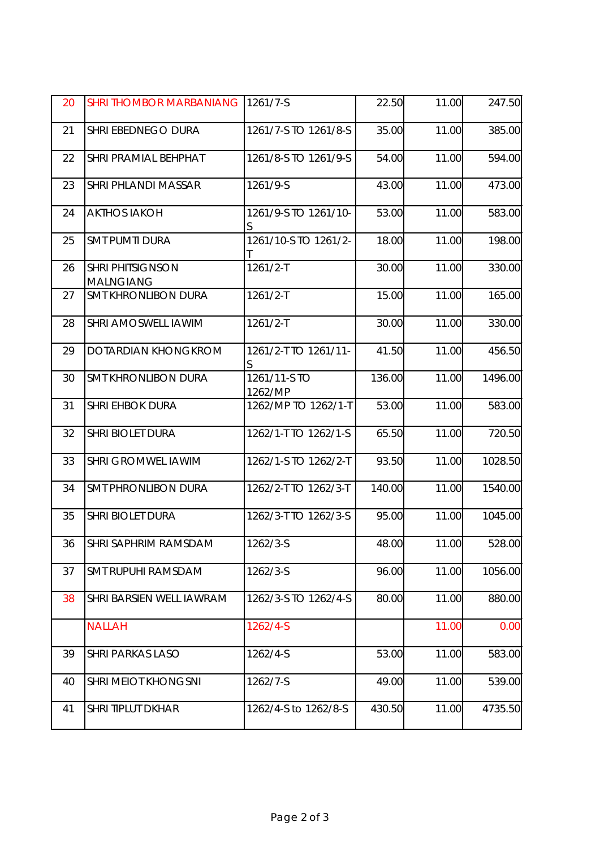| 20 | <b>SHRI THOMBOR MARBANIANG</b>              | 1261/7-S                | 22.50  | 11.00 | 247.50  |
|----|---------------------------------------------|-------------------------|--------|-------|---------|
| 21 | SHRI EBEDNEGO DURA                          | 1261/7-S TO 1261/8-S    | 35.00  | 11.00 | 385.00  |
| 22 | <b>SHRI PRAMIAL BEHPHAT</b>                 | 1261/8-S TO 1261/9-S    | 54.00  | 11.00 | 594.00  |
| 23 | <b>SHRI PHLANDI MASSAR</b>                  | 1261/9-S                | 43.00  | 11.00 | 473.00  |
| 24 | <b>AKTHOS IAKOH</b>                         | 1261/9-S TO 1261/10-    | 53.00  | 11.00 | 583.00  |
| 25 | <b>SMT PUMTI DURA</b>                       | 1261/10-S TO 1261/2-    | 18.00  | 11.00 | 198.00  |
| 26 | <b>SHRI PHITSIGNSON</b><br><b>MALNGIANG</b> | $1261/2 - T$            | 30.00  | 11.00 | 330.00  |
| 27 | <b>SMT KHRONLIBON DURA</b>                  | $1261/2 - T$            | 15.00  | 11.00 | 165.00  |
| 28 | <b>SHRI AMOSWELL IAWIM</b>                  | $1261/2 - T$            | 30.00  | 11.00 | 330.00  |
| 29 | <b>DOTARDIAN KHONGKROM</b>                  | 1261/2-T TO 1261/11-    | 41.50  | 11.00 | 456.50  |
| 30 | <b>SMT KHRONLIBON DURA</b>                  | 1261/11-S TO<br>1262/MP | 136.00 | 11.00 | 1496.00 |
| 31 | <b>SHRI EHBOK DURA</b>                      | 1262/MP TO 1262/1-T     | 53.00  | 11.00 | 583.00  |
| 32 | <b>SHRI BIOLET DURA</b>                     | 1262/1-T TO 1262/1-S    | 65.50  | 11.00 | 720.50  |
| 33 | <b>SHRI GROMWEL IAWIM</b>                   | 1262/1-S TO 1262/2-T    | 93.50  | 11.00 | 1028.50 |
| 34 | <b>SMT PHRONLIBON DURA</b>                  | 1262/2-T TO 1262/3-T    | 140.00 | 11.00 | 1540.00 |
| 35 | <b>SHRI BIOLET DURA</b>                     | 1262/3-T TO 1262/3-S    | 95.00  | 11.00 | 1045.00 |
| 36 | SHRI SAPHRIM RAMSDAM                        | 1262/3-S                | 48.00  | 11.00 | 528.00  |
| 37 | <b>SMT RUPUHI RAMSDAM</b>                   | 1262/3-S                | 96.00  | 11.00 | 1056.00 |
| 38 | SHRI BARSIEN WELL IAWRAM                    | 1262/3-S TO 1262/4-S    | 80.00  | 11.00 | 880.00  |
|    | <b>NALLAH</b>                               | 1262/4-S                |        | 11.00 | 0.00    |
| 39 | <b>SHRI PARKAS LASO</b>                     | 1262/4-S                | 53.00  | 11.00 | 583.00  |
| 40 | <b>SHRI MEIOT KHONGSNI</b>                  | 1262/7-S                | 49.00  | 11.00 | 539.00  |
| 41 | <b>SHRI TIPLUT DKHAR</b>                    | 1262/4-S to 1262/8-S    | 430.50 | 11.00 | 4735.50 |